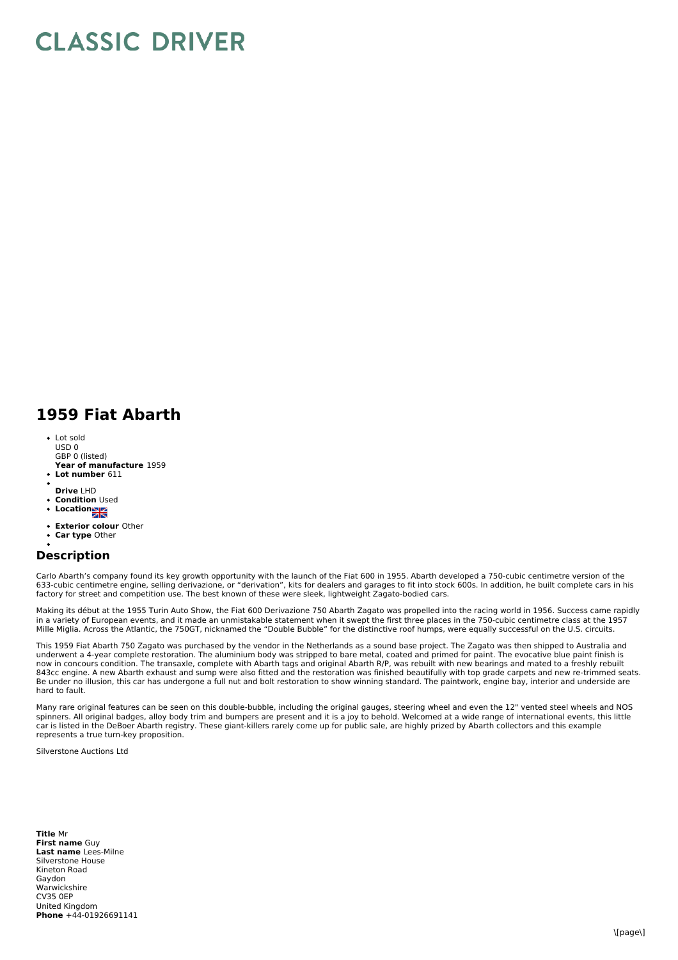## **CLASSIC DRIVER**

## **1959 Fiat Abarth**

- Lot sold  $USD0$
- **Year of manufacture** 1959 GBP 0 (listed)
- **Lot number** 611
- **Drive** LHD
- **Condition** Used
- **•** Location
- 
- **Exterior colour** Other **Car type** Other

## **Description**

Carlo Abarth's company found its key growth opportunity with the launch of the Fiat 600 in 1955. Abarth developed a 750-cubic centimetre version of the 633-cubic centimetre engine, selling derivazione, or "derivation", kits for dealers and garages to fit into stock 600s. In addition, he built complete cars in his factory for street and competition use. The best known of these were sleek, lightweight Zagato-bodied cars.

Making its début at the 1955 Turin Auto Show, the Fiat 600 Derivazione 750 Abarth Zagato was propelled into the racing world in 1956. Success came rapidly in a variety of European events, and it made an unmistakable statement when it swept the first three places in the 750-cubic centimetre class at the 1957 Mille Miglia. Across the Atlantic, the 750GT, nicknamed the "Double Bubble" for the distinctive roof humps, were equally successful on the U.S. circuits.

This 1959 Fiat Abarth 750 Zagato was purchased by the vendor in the Netherlands as a sound base project. The Zagato was then shipped to Australia and underwent a 4-year complete restoration. The aluminium body was stripped to bare metal, coated and primed for paint. The evocative blue paint finish is<br>now in concours condition. The transaxle, complete with Abarth tags an Be under no illusion, this car has undergone a full nut and bolt restoration to show winning standard. The paintwork, engine bay, interior and underside are hard to fault.

Many rare original features can be seen on this double-bubble, including the original gauges, steering wheel and even the 12" vented steel wheels and NOS spinners. All original badges, alloy body trim and bumpers are present and it is a joy to behold. Welcomed at a wide range of international events, this little car is listed in the DeBoer Abarth registry. These giant-killers rarely come up for public sale, are highly prized by Abarth collectors and this example represents a true turn-key proposition.

Silverstone Auctions Ltd

**Title** Mr **First name** Guy **Last name** Lees-Milne **Phone** +44-01926691141 Silverstone House Kineton Road Gaydon Warwickshire CV35 0EP United Kingdom